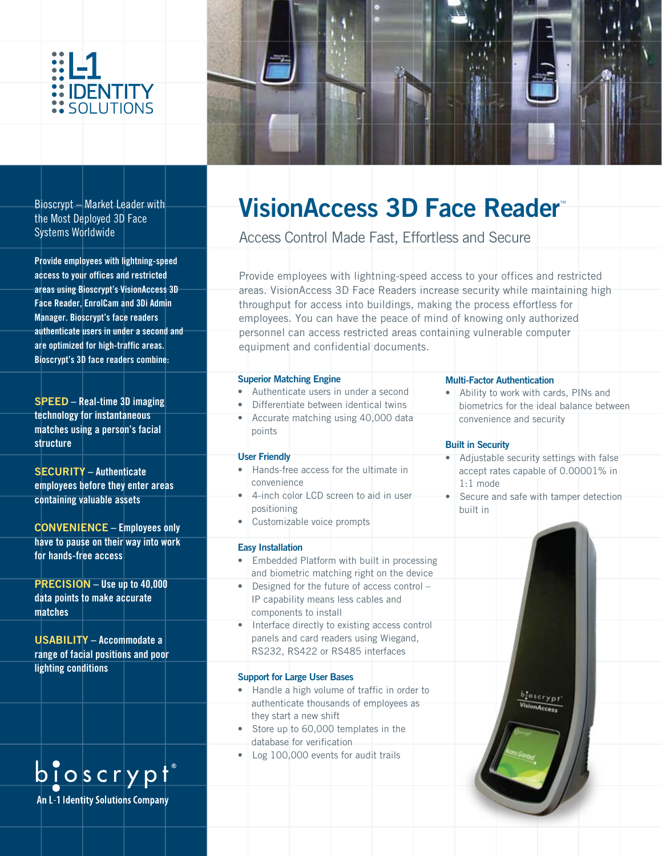



Bioscrypt – Market Leader with the Most Deployed 3D Face Systems Worldwide

**Provide employees with lightning-speed access to your offices and restricted areas using Bioscrypt's VisionAccess 3D Face Reader, EnrolCam and 3Di Admin Manager. Bioscrypt's face readers authenticate users in under a second and are optimized for high-traffic areas. Bioscrypt's 3D face readers combine:**

**SPEED – Real-time 3D imaging technology for instantaneous matches using a person's facial structure**

**SECURITY – Authenticate employees before they enter areas containing valuable assets**

**CONVENIENCE – Employees only have to pause on their way into work for hands-free access**

**PRECISION – Use up to 40,000 data points to make accurate matches**

**USABILITY – Accommodate a range of facial positions and poor lighting conditions**



## **VisionAccess 3D Face Reader**™

Access Control Made Fast, Effortless and Secure

Provide employees with lightning-speed access to your offices and restricted areas. VisionAccess 3D Face Readers increase security while maintaining high throughput for access into buildings, making the process effortless for employees. You can have the peace of mind of knowing only authorized personnel can access restricted areas containing vulnerable computer equipment and confidential documents.

| <b>Superior Matching Engine</b>                                                                                                                                                        | <b>Multi-Factor Authentication</b>                                                                     |
|----------------------------------------------------------------------------------------------------------------------------------------------------------------------------------------|--------------------------------------------------------------------------------------------------------|
| Authenticate users in under a second                                                                                                                                                   | Ability to work with cards, PINs and                                                                   |
| Differentiate between identical twins                                                                                                                                                  | biometrics for the ideal balance between                                                               |
| Accurate matching using 40,000 data<br>$\bullet$<br>points                                                                                                                             | convenience and security<br><b>Built in Security</b>                                                   |
| <b>User Friendly</b>                                                                                                                                                                   | Adjustable security settings with false                                                                |
| Hands-free access for the ultimate in<br>convenience<br>4-inch color LCD screen to aid in user<br>٠<br>positioning<br>Customizable voice prompts<br>٠                                  | accept rates capable of 0.00001% in<br>$1:1$ mode<br>Secure and safe with tamper detection<br>built in |
| <b>Easy Installation</b><br>Embedded Platform with built in processing                                                                                                                 |                                                                                                        |
| and biometric matching right on the device                                                                                                                                             |                                                                                                        |
| Designed for the future of access control -<br>$\bullet$<br>IP capability means less cables and<br>components to install<br>Interface directly to existing access control<br>$\bullet$ |                                                                                                        |
| panels and card readers using Wiegand,<br>RS232, RS422 or RS485 interfaces                                                                                                             |                                                                                                        |
| <b>Support for Large User Bases</b>                                                                                                                                                    |                                                                                                        |
| Handle a high volume of traffic in order to                                                                                                                                            |                                                                                                        |
| authenticate thousands of employees as<br>they start a new shift                                                                                                                       | <b>JonAccess</b>                                                                                       |
| Store up to 60,000 templates in the<br>$\bullet$<br>database for verification                                                                                                          |                                                                                                        |
| Log 100,000 events for audit trails<br>٠                                                                                                                                               |                                                                                                        |